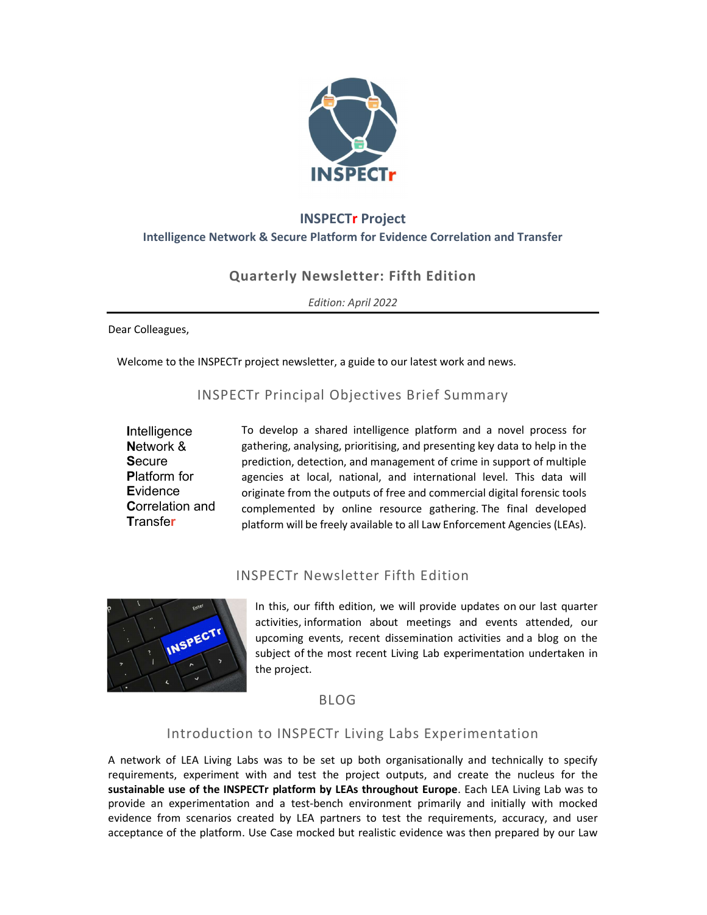

# INSPECTr Project Intelligence Network & Secure Platform for Evidence Correlation and Transfer

## Quarterly Newsletter: Fifth Edition

Edition: April 2022

Dear Colleagues,

Welcome to the INSPECTr project newsletter, a guide to our latest work and news.

## INSPECTr Principal Objectives Brief Summary

**Intelligence**  Network & **Secure**  Platform for **E**vidence Correlation and **Transfer** 

To develop a shared intelligence platform and a novel process for gathering, analysing, prioritising, and presenting key data to help in the prediction, detection, and management of crime in support of multiple agencies at local, national, and international level. This data will originate from the outputs of free and commercial digital forensic tools complemented by online resource gathering. The final developed platform will be freely available to all Law Enforcement Agencies (LEAs).

## INSPECTr Newsletter Fifth Edition



In this, our fifth edition, we will provide updates on our last quarter activities, information about meetings and events attended, our upcoming events, recent dissemination activities and a blog on the subject of the most recent Living Lab experimentation undertaken in the project.

BLOG

### Introduction to INSPECTr Living Labs Experimentation

A network of LEA Living Labs was to be set up both organisationally and technically to specify requirements, experiment with and test the project outputs, and create the nucleus for the sustainable use of the INSPECTr platform by LEAs throughout Europe. Each LEA Living Lab was to provide an experimentation and a test-bench environment primarily and initially with mocked evidence from scenarios created by LEA partners to test the requirements, accuracy, and user acceptance of the platform. Use Case mocked but realistic evidence was then prepared by our Law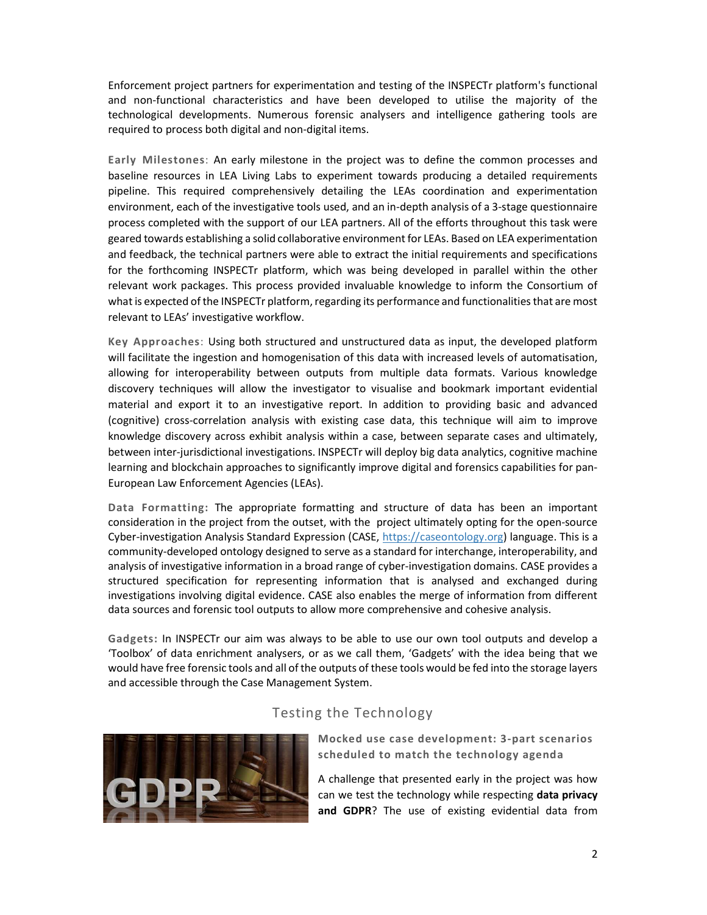Enforcement project partners for experimentation and testing of the INSPECTr platform's functional and non-functional characteristics and have been developed to utilise the majority of the technological developments. Numerous forensic analysers and intelligence gathering tools are required to process both digital and non-digital items.

Early Milestones: An early milestone in the project was to define the common processes and baseline resources in LEA Living Labs to experiment towards producing a detailed requirements pipeline. This required comprehensively detailing the LEAs coordination and experimentation environment, each of the investigative tools used, and an in-depth analysis of a 3-stage questionnaire process completed with the support of our LEA partners. All of the efforts throughout this task were geared towards establishing a solid collaborative environment for LEAs. Based on LEA experimentation and feedback, the technical partners were able to extract the initial requirements and specifications for the forthcoming INSPECTr platform, which was being developed in parallel within the other relevant work packages. This process provided invaluable knowledge to inform the Consortium of what is expected of the INSPECTr platform, regarding its performance and functionalities that are most relevant to LEAs' investigative workflow.

Key Approaches: Using both structured and unstructured data as input, the developed platform will facilitate the ingestion and homogenisation of this data with increased levels of automatisation, allowing for interoperability between outputs from multiple data formats. Various knowledge discovery techniques will allow the investigator to visualise and bookmark important evidential material and export it to an investigative report. In addition to providing basic and advanced (cognitive) cross-correlation analysis with existing case data, this technique will aim to improve knowledge discovery across exhibit analysis within a case, between separate cases and ultimately, between inter-jurisdictional investigations. INSPECTr will deploy big data analytics, cognitive machine learning and blockchain approaches to significantly improve digital and forensics capabilities for pan-European Law Enforcement Agencies (LEAs).

Data Formatting: The appropriate formatting and structure of data has been an important consideration in the project from the outset, with the project ultimately opting for the open-source Cyber-investigation Analysis Standard Expression (CASE, https://caseontology.org) language. This is a community-developed ontology designed to serve as a standard for interchange, interoperability, and analysis of investigative information in a broad range of cyber-investigation domains. CASE provides a structured specification for representing information that is analysed and exchanged during investigations involving digital evidence. CASE also enables the merge of information from different data sources and forensic tool outputs to allow more comprehensive and cohesive analysis.

Gadgets: In INSPECTr our aim was always to be able to use our own tool outputs and develop a 'Toolbox' of data enrichment analysers, or as we call them, 'Gadgets' with the idea being that we would have free forensic tools and all of the outputs of these tools would be fed into the storage layers and accessible through the Case Management System.

### Testing the Technology



Mocked use case development: 3-part scenarios scheduled to match the technology agenda

A challenge that presented early in the project was how can we test the technology while respecting data privacy and GDPR? The use of existing evidential data from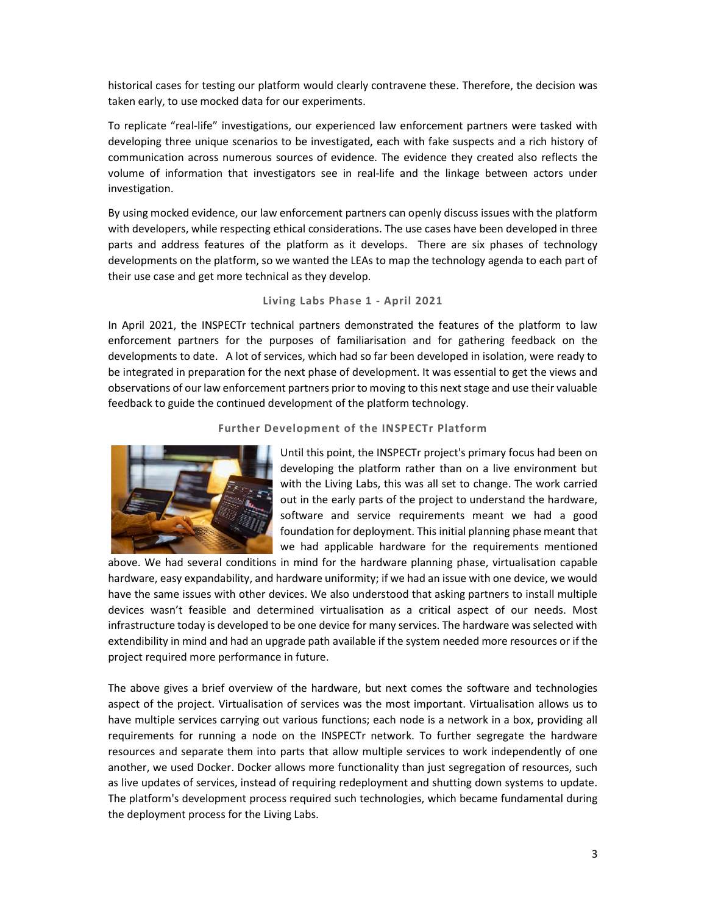historical cases for testing our platform would clearly contravene these. Therefore, the decision was taken early, to use mocked data for our experiments.

To replicate "real-life" investigations, our experienced law enforcement partners were tasked with developing three unique scenarios to be investigated, each with fake suspects and a rich history of communication across numerous sources of evidence. The evidence they created also reflects the volume of information that investigators see in real-life and the linkage between actors under investigation.

By using mocked evidence, our law enforcement partners can openly discuss issues with the platform with developers, while respecting ethical considerations. The use cases have been developed in three parts and address features of the platform as it develops. There are six phases of technology developments on the platform, so we wanted the LEAs to map the technology agenda to each part of their use case and get more technical as they develop.

#### Living Labs Phase 1 - April 2021

In April 2021, the INSPECTr technical partners demonstrated the features of the platform to law enforcement partners for the purposes of familiarisation and for gathering feedback on the developments to date. A lot of services, which had so far been developed in isolation, were ready to be integrated in preparation for the next phase of development. It was essential to get the views and observations of our law enforcement partners prior to moving to this next stage and use their valuable feedback to guide the continued development of the platform technology.

#### Further Development of the INSPECTr Platform



Until this point, the INSPECTr project's primary focus had been on developing the platform rather than on a live environment but with the Living Labs, this was all set to change. The work carried out in the early parts of the project to understand the hardware, software and service requirements meant we had a good foundation for deployment. This initial planning phase meant that we had applicable hardware for the requirements mentioned

above. We had several conditions in mind for the hardware planning phase, virtualisation capable hardware, easy expandability, and hardware uniformity; if we had an issue with one device, we would have the same issues with other devices. We also understood that asking partners to install multiple devices wasn't feasible and determined virtualisation as a critical aspect of our needs. Most infrastructure today is developed to be one device for many services. The hardware was selected with extendibility in mind and had an upgrade path available if the system needed more resources or if the project required more performance in future.

The above gives a brief overview of the hardware, but next comes the software and technologies aspect of the project. Virtualisation of services was the most important. Virtualisation allows us to have multiple services carrying out various functions; each node is a network in a box, providing all requirements for running a node on the INSPECTr network. To further segregate the hardware resources and separate them into parts that allow multiple services to work independently of one another, we used Docker. Docker allows more functionality than just segregation of resources, such as live updates of services, instead of requiring redeployment and shutting down systems to update. The platform's development process required such technologies, which became fundamental during the deployment process for the Living Labs.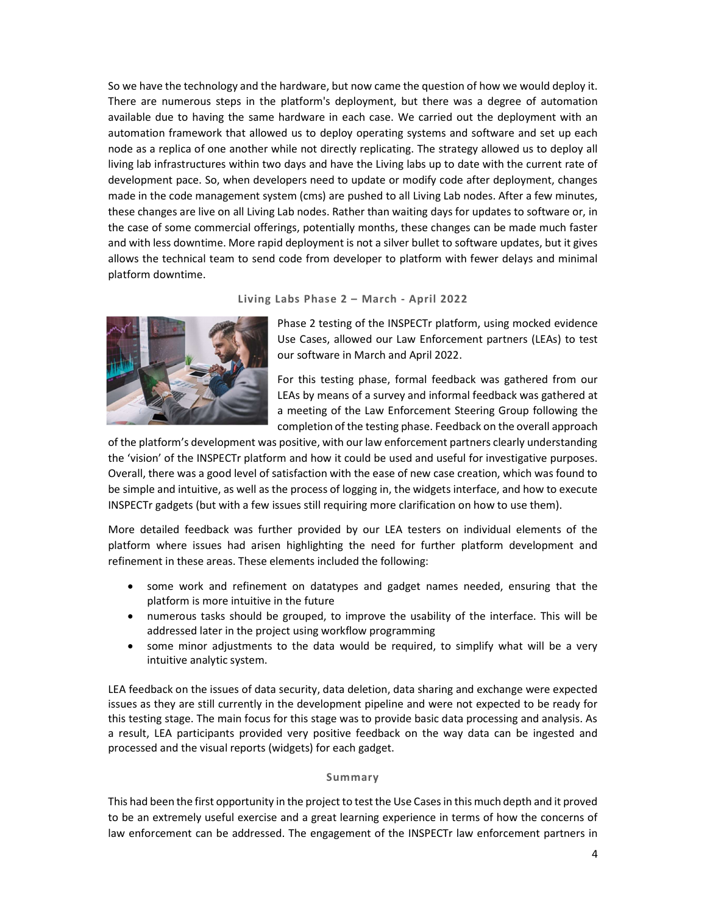So we have the technology and the hardware, but now came the question of how we would deploy it. There are numerous steps in the platform's deployment, but there was a degree of automation available due to having the same hardware in each case. We carried out the deployment with an automation framework that allowed us to deploy operating systems and software and set up each node as a replica of one another while not directly replicating. The strategy allowed us to deploy all living lab infrastructures within two days and have the Living labs up to date with the current rate of development pace. So, when developers need to update or modify code after deployment, changes made in the code management system (cms) are pushed to all Living Lab nodes. After a few minutes, these changes are live on all Living Lab nodes. Rather than waiting days for updates to software or, in the case of some commercial offerings, potentially months, these changes can be made much faster and with less downtime. More rapid deployment is not a silver bullet to software updates, but it gives allows the technical team to send code from developer to platform with fewer delays and minimal platform downtime.

### Living Labs Phase 2 – March - April 2022



Phase 2 testing of the INSPECTr platform, using mocked evidence Use Cases, allowed our Law Enforcement partners (LEAs) to test our software in March and April 2022.

For this testing phase, formal feedback was gathered from our LEAs by means of a survey and informal feedback was gathered at a meeting of the Law Enforcement Steering Group following the completion of the testing phase. Feedback on the overall approach

of the platform's development was positive, with our law enforcement partners clearly understanding the 'vision' of the INSPECTr platform and how it could be used and useful for investigative purposes. Overall, there was a good level of satisfaction with the ease of new case creation, which was found to be simple and intuitive, as well as the process of logging in, the widgets interface, and how to execute INSPECTr gadgets (but with a few issues still requiring more clarification on how to use them).

More detailed feedback was further provided by our LEA testers on individual elements of the platform where issues had arisen highlighting the need for further platform development and refinement in these areas. These elements included the following:

- some work and refinement on datatypes and gadget names needed, ensuring that the platform is more intuitive in the future
- numerous tasks should be grouped, to improve the usability of the interface. This will be addressed later in the project using workflow programming
- some minor adjustments to the data would be required, to simplify what will be a very intuitive analytic system.

LEA feedback on the issues of data security, data deletion, data sharing and exchange were expected issues as they are still currently in the development pipeline and were not expected to be ready for this testing stage. The main focus for this stage was to provide basic data processing and analysis. As a result, LEA participants provided very positive feedback on the way data can be ingested and processed and the visual reports (widgets) for each gadget.

#### Summary

This had been the first opportunity in the project to test the Use Cases in this much depth and it proved to be an extremely useful exercise and a great learning experience in terms of how the concerns of law enforcement can be addressed. The engagement of the INSPECTr law enforcement partners in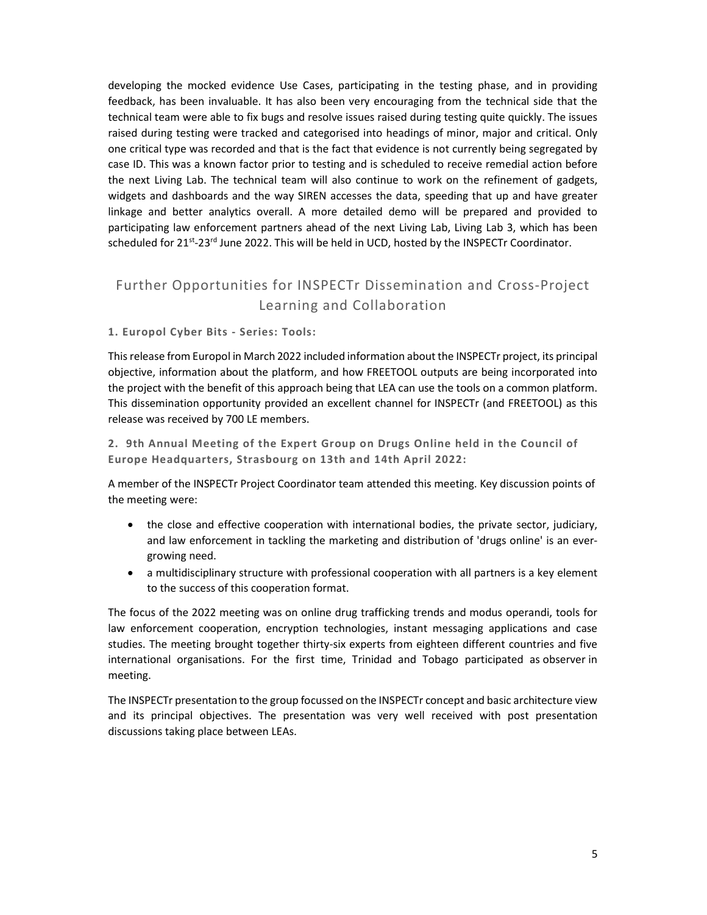developing the mocked evidence Use Cases, participating in the testing phase, and in providing feedback, has been invaluable. It has also been very encouraging from the technical side that the technical team were able to fix bugs and resolve issues raised during testing quite quickly. The issues raised during testing were tracked and categorised into headings of minor, major and critical. Only one critical type was recorded and that is the fact that evidence is not currently being segregated by case ID. This was a known factor prior to testing and is scheduled to receive remedial action before the next Living Lab. The technical team will also continue to work on the refinement of gadgets, widgets and dashboards and the way SIREN accesses the data, speeding that up and have greater linkage and better analytics overall. A more detailed demo will be prepared and provided to participating law enforcement partners ahead of the next Living Lab, Living Lab 3, which has been scheduled for 21<sup>st</sup>-23<sup>rd</sup> June 2022. This will be held in UCD, hosted by the INSPECTr Coordinator.

## Further Opportunities for INSPECTr Dissemination and Cross-Project Learning and Collaboration

#### 1. Europol Cyber Bits - Series: Tools:

This release from Europol in March 2022 included information about the INSPECTr project, its principal objective, information about the platform, and how FREETOOL outputs are being incorporated into the project with the benefit of this approach being that LEA can use the tools on a common platform. This dissemination opportunity provided an excellent channel for INSPECTr (and FREETOOL) as this release was received by 700 LE members.

2. 9th Annual Meeting of the Expert Group on Drugs Online held in the Council of Europe Headquarters, Strasbourg on 13th and 14th April 2022:

A member of the INSPECTr Project Coordinator team attended this meeting. Key discussion points of the meeting were:

- the close and effective cooperation with international bodies, the private sector, judiciary, and law enforcement in tackling the marketing and distribution of 'drugs online' is an evergrowing need.
- a multidisciplinary structure with professional cooperation with all partners is a key element to the success of this cooperation format.

The focus of the 2022 meeting was on online drug trafficking trends and modus operandi, tools for law enforcement cooperation, encryption technologies, instant messaging applications and case studies. The meeting brought together thirty-six experts from eighteen different countries and five international organisations. For the first time, Trinidad and Tobago participated as observer in meeting.

The INSPECTr presentation to the group focussed on the INSPECTr concept and basic architecture view and its principal objectives. The presentation was very well received with post presentation discussions taking place between LEAs.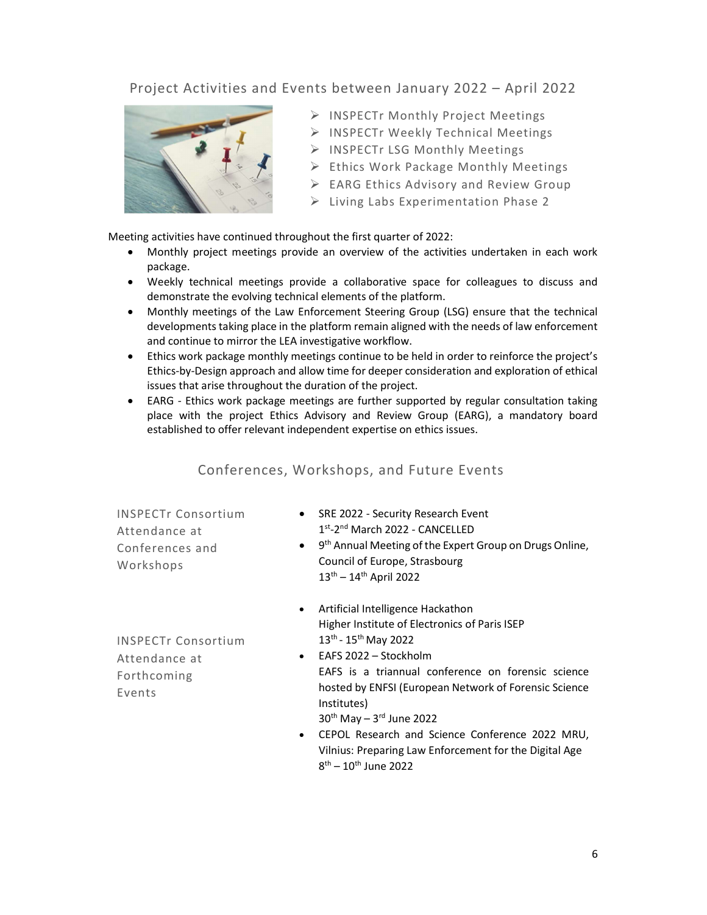## Project Activities and Events between January 2022 – April 2022



- > INSPECTr Monthly Project Meetings
- > INSPECTr Weekly Technical Meetings
- > INSPECTr LSG Monthly Meetings
- $\triangleright$  Ethics Work Package Monthly Meetings
- $\triangleright$  EARG Ethics Advisory and Review Group
- $\triangleright$  Living Labs Experimentation Phase 2

Meeting activities have continued throughout the first quarter of 2022:

- Monthly project meetings provide an overview of the activities undertaken in each work package.
- Weekly technical meetings provide a collaborative space for colleagues to discuss and demonstrate the evolving technical elements of the platform.
- Monthly meetings of the Law Enforcement Steering Group (LSG) ensure that the technical developments taking place in the platform remain aligned with the needs of law enforcement and continue to mirror the LEA investigative workflow.
- Ethics work package monthly meetings continue to be held in order to reinforce the project's Ethics-by-Design approach and allow time for deeper consideration and exploration of ethical issues that arise throughout the duration of the project.
- EARG Ethics work package meetings are further supported by regular consultation taking place with the project Ethics Advisory and Review Group (EARG), a mandatory board established to offer relevant independent expertise on ethics issues.

### Conferences, Workshops, and Future Events

INSPECTr Consortium Attendance at Conferences and Workshops

- SRE 2022 Security Research Event 1 st-2nd March 2022 - CANCELLED
- $\bullet$ 9<sup>th</sup> Annual Meeting of the Expert Group on Drugs Online, Council of Europe, Strasbourg  $13^{th} - 14^{th}$  April 2022
- Artificial Intelligence Hackathon Higher Institute of Electronics of Paris ISEP 13th - 15th May 2022

INSPECTr Consortium Attendance at Forthcoming Events

 EAFS 2022 – Stockholm EAFS is a triannual conference on forensic science hosted by ENFSI (European Network of Forensic Science Institutes)

 $30<sup>th</sup>$  May  $-3<sup>rd</sup>$  June 2022

 CEPOL Research and Science Conference 2022 MRU, Vilnius: Preparing Law Enforcement for the Digital Age 8<sup>th</sup> – 10<sup>th</sup> June 2022